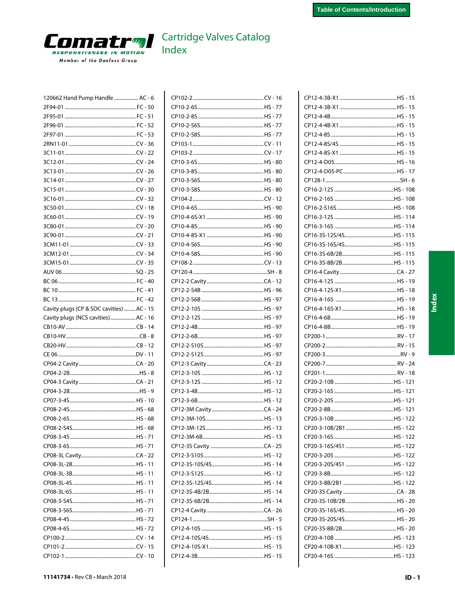

| 120662 Hand Pump Handle  AC - 6          |  |
|------------------------------------------|--|
|                                          |  |
|                                          |  |
|                                          |  |
|                                          |  |
|                                          |  |
|                                          |  |
|                                          |  |
|                                          |  |
|                                          |  |
|                                          |  |
|                                          |  |
|                                          |  |
|                                          |  |
|                                          |  |
|                                          |  |
|                                          |  |
|                                          |  |
|                                          |  |
|                                          |  |
|                                          |  |
|                                          |  |
|                                          |  |
| Cavity plugs (CP & SDC cavities) AC - 15 |  |
| Cavity plugs (NCS cavities)AC - 16       |  |
|                                          |  |
|                                          |  |
|                                          |  |
|                                          |  |
|                                          |  |
|                                          |  |
|                                          |  |
|                                          |  |
|                                          |  |
|                                          |  |
|                                          |  |
|                                          |  |
|                                          |  |
|                                          |  |
|                                          |  |
|                                          |  |
|                                          |  |
|                                          |  |
|                                          |  |
|                                          |  |
|                                          |  |
|                                          |  |
|                                          |  |
|                                          |  |
|                                          |  |
|                                          |  |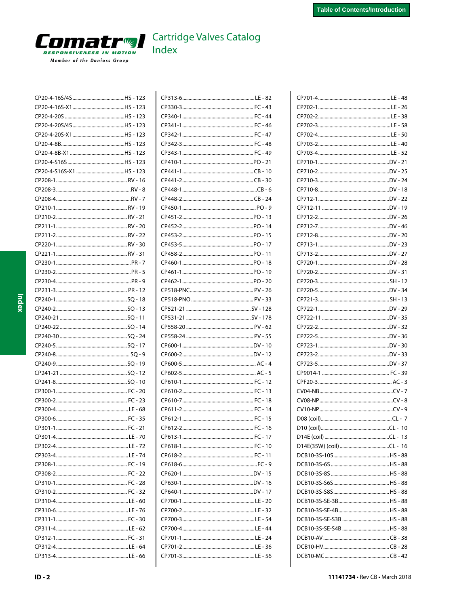# <span id="page-1-0"></span>**COMATING** Member of the Danfoss Group

### **Cartridge Valves Catalog**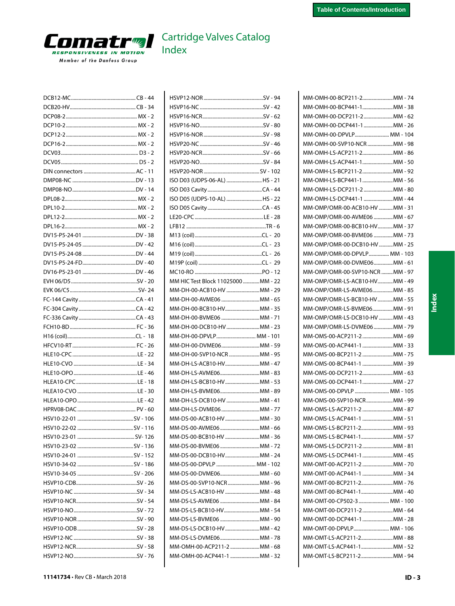<span id="page-2-0"></span>

| HSVP12-NO SALL SALL STORES AND THE STUDIES |  |
|--------------------------------------------|--|

| ISO D03 (UDPS-06-AL) HS - 21        |  |
|-------------------------------------|--|
|                                     |  |
| ISO D05 (UDPS-10-AL) HS - 22        |  |
|                                     |  |
|                                     |  |
|                                     |  |
|                                     |  |
|                                     |  |
|                                     |  |
|                                     |  |
|                                     |  |
| MM HIC Test Block 11025000  MM - 22 |  |
| MM-DH-00-ACB10-HV MM - 29           |  |
| MM-DH-00-AVME06 MM - 65             |  |
| MM-DH-00-BCB10-HVMM - 35            |  |
| MM-DH-00-BVME06 MM - 71             |  |
| MM-DH-00-DCB10-HV MM - 23           |  |
| MM-DH-00-DPVLP MM - 101             |  |
| MM-DH-00-DVME06MM - 59              |  |
| MM-DH-00-SVP10-NCR MM - 95          |  |
| MM-DH-LS-ACB10-HVMM - 47            |  |
| MM-DH-LS-AVME06MM - 83              |  |
| MM-DH-LS-BCB10-HVMM - 53            |  |
| MM-DH-LS-BVME06MM - 89              |  |
| MM-DH-LS-DCB10-HV MM - 41           |  |
| MM-DH-LS-DVME06 MM - 77             |  |
| MM-DS-00-ACB10-HV MM - 30           |  |
| MM-DS-00-AVME06 MM - 66             |  |
| MM-DS-00-BCB10-HV MM - 36           |  |
| MM-DS-00-BVME06MM - 72              |  |
| MM-DS-00-DCB10-HVMM - 24            |  |
| MM-DS-00-DPVLP  MM - 102            |  |
| MM-DS-00-DVME06MM - 60              |  |
| MM-DS-00-SVP10-NCRMM - 96           |  |
| MM-DS-LS-ACB10-HV MM - 48           |  |
| MM-DS-LS-AVME06 MM - 84             |  |
| MM-DS-LS-BCB10-HVMM - 54            |  |
| MM-DS-LS-BVME06 MM - 90             |  |
| MM-DS-LS-DCB10-HV MM - 42           |  |
| MM-DS-LS-DVME06MM - 78              |  |
| MM-OMH-00-ACP211-2 MM - 68          |  |
| MM-OMH-00-ACP441-1 MM - 32          |  |
|                                     |  |

| ММ-ОМН-00-ВСР211-2ММ - 74                               |  |
|---------------------------------------------------------|--|
| MM-OMH-00-BCP441-1MM - 38                               |  |
| MM-OMH-00-DCP211-2MM - 62                               |  |
| MM-OMH-00-DCP441-1 MM - 26                              |  |
| MM-OMH-00-DPVLP MM - 104                                |  |
| MM-OMH-00-SVP10-NCR MM - 98                             |  |
| ММ-ОМН-LS-АСР211-2ММ - 86                               |  |
| MM-OMH-LS-ACP441-1MM - 50                               |  |
| ММ-ОМН-LS-ВСР211-2ММ - 92                               |  |
| MM-OMH-LS-BCP441-1MM - 56                               |  |
| MM-OMH-LS-DCP211-2 MM - 80                              |  |
| MM-OMH-LS-DCP441-1 MM - 44                              |  |
| MM-OMP/OMR-00-ACB10-HV MM - 31                          |  |
| MM-OMP/OMR-00-AVME06 MM - 67                            |  |
| MM-OMP/OMR-00-BCB10-HVMM - 37                           |  |
| MM-OMP/OMR-00-BVME06 MM - 73                            |  |
| MM-OMP/OMR-00-DCB10-HV MM - 25                          |  |
| MM-OMP/OMR-00-DPVLP MM - 103                            |  |
| MM-OMP/OMR-00-DVME06MM - 61                             |  |
| MM-OMP/OMR-00-SVP10-NCR MM - 97                         |  |
| MM-OMP/OMR-LS-ACB10-HVMM - 49                           |  |
| MM-OMP/OMR-LS-AVME06MM - 85                             |  |
| MM-OMP/OMR-LS-BCB10-HVMM - 55                           |  |
| MM-OMP/OMR-LS-BVME06MM - 91                             |  |
| MM-OMP/OMR-LS-DCB10-HV MM - 43                          |  |
| MM-OMP/OMR-LS-DVME06 MM - 79                            |  |
| MM-OMS-00-ACP211-2MM - 69                               |  |
| MM-OMS-00-ACP441-1 MM - 33                              |  |
| MM-OMS-00-BCP211-2 MM - 75                              |  |
| MM-OMS-00-BCP441-1 MM - 39                              |  |
| MM-OMS-00-DCP211-2MM - 63                               |  |
| MM-OMS-00-DCP441-1MM - 27                               |  |
| MM-OMS-00-DPVLP  MM - 105                               |  |
| MM-OMS-00-SVP10-NCRMM - 99                              |  |
| MM-OMS-LS-ACP211-2 MM - 87                              |  |
| MM-OMS-LS-ACP441-1 MM - 51                              |  |
| ММ-OMS-LS-BCP211-2ММ - 93                               |  |
| MM-OMS-LS-BCP441-1MM - 57                               |  |
| MM-OMS-LS-DCP211-2MM - 81<br>MM-OMS-LS-DCP441-1 MM - 45 |  |
|                                                         |  |
| MM-OMT-00-ACP211-2 MM - 70                              |  |
| MM-OMT-00-ACP441-1 MM - 34<br>MM-OMT-00-BCP211-2MM - 76 |  |
| MM-OMT-00-BCP441-1MM - 40                               |  |
| MM-OMT-00-CP502-3  MM - 100                             |  |
| MM-OMT-00-DCP211-2MM - 64                               |  |
| MM-OMT-00-DCP441-1 MM - 28                              |  |
| MM-OMT-00-DPVLP MM - 106                                |  |
| MM-OMT-LS-ACP211-2MM - 88                               |  |
| MM-OMT-LS-ACP441-1MM - 52                               |  |
| MM-OMT-LS-BCP211-2MM - 94                               |  |
|                                                         |  |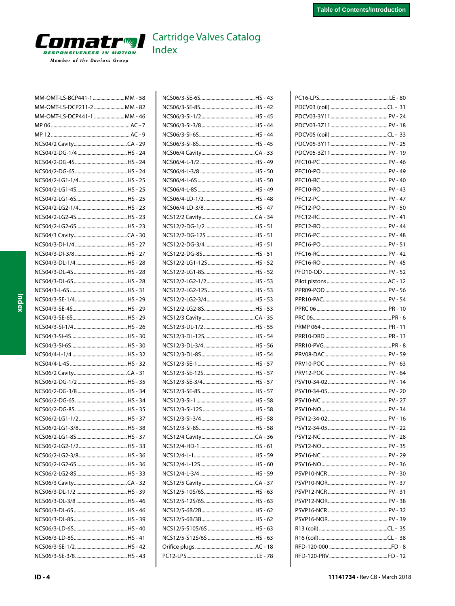<span id="page-3-0"></span>

| MM-OMT-LS-BCP441-1 MM - 58 |  |
|----------------------------|--|
| MM-OMT-LS-DCP211-2 MM - 82 |  |
| MM-OMT-LS-DCP441-1 MM - 46 |  |
|                            |  |
|                            |  |
|                            |  |
|                            |  |
|                            |  |
|                            |  |
|                            |  |
|                            |  |
|                            |  |
|                            |  |
|                            |  |
|                            |  |
|                            |  |
|                            |  |
|                            |  |
|                            |  |
|                            |  |
|                            |  |
|                            |  |
|                            |  |
|                            |  |
|                            |  |
|                            |  |
|                            |  |
|                            |  |
|                            |  |
|                            |  |
|                            |  |
|                            |  |
|                            |  |
|                            |  |
|                            |  |
|                            |  |
|                            |  |
|                            |  |
|                            |  |
|                            |  |
|                            |  |
|                            |  |
|                            |  |
|                            |  |
|                            |  |
|                            |  |
|                            |  |
|                            |  |
|                            |  |
|                            |  |
|                            |  |
|                            |  |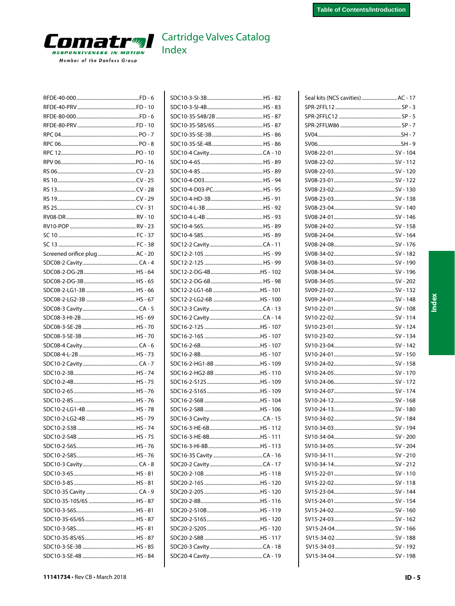<span id="page-4-0"></span>

| Screened orifice plug AC - 20 |           |
|-------------------------------|-----------|
|                               |           |
|                               |           |
|                               |           |
|                               |           |
|                               |           |
|                               |           |
|                               |           |
|                               |           |
|                               |           |
|                               |           |
|                               |           |
|                               |           |
|                               |           |
|                               |           |
|                               |           |
|                               |           |
|                               |           |
|                               |           |
|                               |           |
|                               |           |
|                               |           |
|                               |           |
|                               |           |
|                               |           |
|                               |           |
|                               |           |
|                               |           |
|                               |           |
|                               |           |
|                               |           |
|                               |           |
|                               |           |
| SDC10-3-SF-4R                 | $HS - RA$ |

| SDC12-2-LG2-6B HS - 100 |  |
|-------------------------|--|
|                         |  |
|                         |  |
|                         |  |
|                         |  |
|                         |  |
|                         |  |
| SDC16-2-HG1-8B HS - 109 |  |
| SDC16-2-HG2-8B HS - 110 |  |
|                         |  |
|                         |  |
|                         |  |
|                         |  |
|                         |  |
|                         |  |
|                         |  |
|                         |  |
|                         |  |
|                         |  |
|                         |  |
|                         |  |
|                         |  |
|                         |  |
|                         |  |
|                         |  |
|                         |  |
|                         |  |
|                         |  |
|                         |  |
|                         |  |

| Seal kits (NCS cavities) AC - 17 |
|----------------------------------|
|                                  |
|                                  |
|                                  |
|                                  |
|                                  |
|                                  |
|                                  |
|                                  |
|                                  |
|                                  |
|                                  |
|                                  |
|                                  |
|                                  |
|                                  |
|                                  |
|                                  |
|                                  |
|                                  |
|                                  |
|                                  |
|                                  |
|                                  |
|                                  |
|                                  |
|                                  |
|                                  |
|                                  |
|                                  |
|                                  |
|                                  |
|                                  |
|                                  |
|                                  |
|                                  |
|                                  |
|                                  |
|                                  |
|                                  |
|                                  |
|                                  |
|                                  |
|                                  |
|                                  |
|                                  |
|                                  |
|                                  |
|                                  |
|                                  |
|                                  |